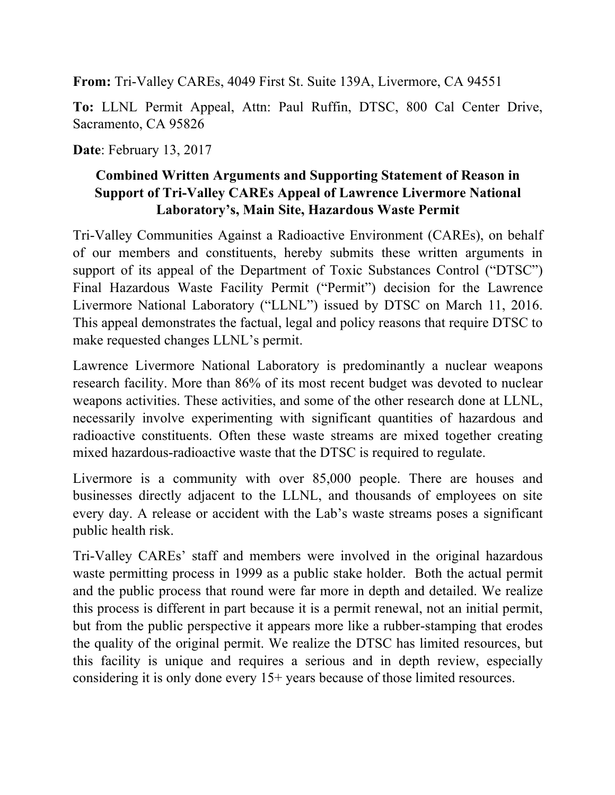**From:** Tri-Valley CAREs, 4049 First St. Suite 139A, Livermore, CA 94551

**To:** LLNL Permit Appeal, Attn: Paul Ruffin, DTSC, 800 Cal Center Drive, Sacramento, CA 95826

**Date**: February 13, 2017

### **Combined Written Arguments and Supporting Statement of Reason in Support of Tri-Valley CAREs Appeal of Lawrence Livermore National Laboratory's, Main Site, Hazardous Waste Permit**

Tri-Valley Communities Against a Radioactive Environment (CAREs), on behalf of our members and constituents, hereby submits these written arguments in support of its appeal of the Department of Toxic Substances Control ("DTSC") Final Hazardous Waste Facility Permit ("Permit") decision for the Lawrence Livermore National Laboratory ("LLNL") issued by DTSC on March 11, 2016. This appeal demonstrates the factual, legal and policy reasons that require DTSC to make requested changes LLNL's permit.

Lawrence Livermore National Laboratory is predominantly a nuclear weapons research facility. More than 86% of its most recent budget was devoted to nuclear weapons activities. These activities, and some of the other research done at LLNL, necessarily involve experimenting with significant quantities of hazardous and radioactive constituents. Often these waste streams are mixed together creating mixed hazardous-radioactive waste that the DTSC is required to regulate.

Livermore is a community with over 85,000 people. There are houses and businesses directly adjacent to the LLNL, and thousands of employees on site every day. A release or accident with the Lab's waste streams poses a significant public health risk.

Tri-Valley CAREs' staff and members were involved in the original hazardous waste permitting process in 1999 as a public stake holder. Both the actual permit and the public process that round were far more in depth and detailed. We realize this process is different in part because it is a permit renewal, not an initial permit, but from the public perspective it appears more like a rubber-stamping that erodes the quality of the original permit. We realize the DTSC has limited resources, but this facility is unique and requires a serious and in depth review, especially considering it is only done every 15+ years because of those limited resources.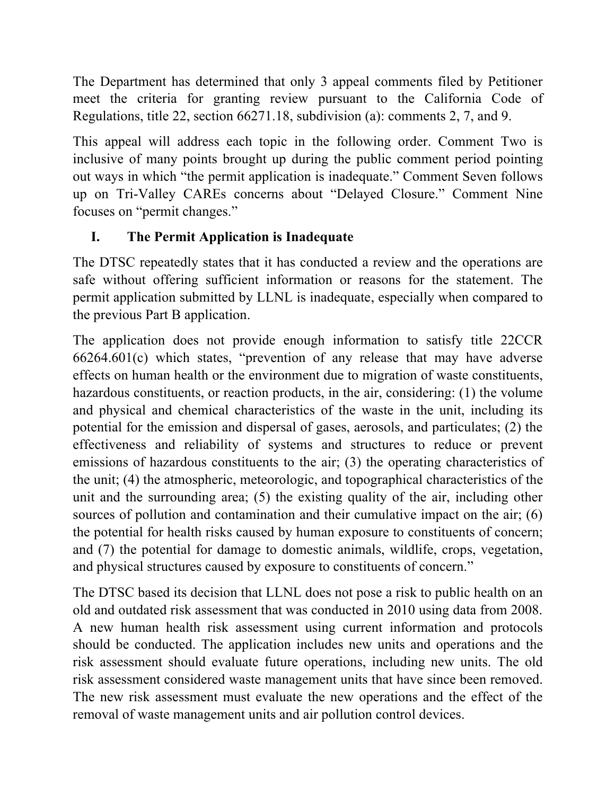The Department has determined that only 3 appeal comments filed by Petitioner meet the criteria for granting review pursuant to the California Code of Regulations, title 22, section 66271.18, subdivision (a): comments 2, 7, and 9.

This appeal will address each topic in the following order. Comment Two is inclusive of many points brought up during the public comment period pointing out ways in which "the permit application is inadequate." Comment Seven follows up on Tri-Valley CAREs concerns about "Delayed Closure." Comment Nine focuses on "permit changes."

# **I. The Permit Application is Inadequate**

The DTSC repeatedly states that it has conducted a review and the operations are safe without offering sufficient information or reasons for the statement. The permit application submitted by LLNL is inadequate, especially when compared to the previous Part B application.

The application does not provide enough information to satisfy title 22CCR 66264.601(c) which states, "prevention of any release that may have adverse effects on human health or the environment due to migration of waste constituents, hazardous constituents, or reaction products, in the air, considering: (1) the volume and physical and chemical characteristics of the waste in the unit, including its potential for the emission and dispersal of gases, aerosols, and particulates; (2) the effectiveness and reliability of systems and structures to reduce or prevent emissions of hazardous constituents to the air; (3) the operating characteristics of the unit; (4) the atmospheric, meteorologic, and topographical characteristics of the unit and the surrounding area; (5) the existing quality of the air, including other sources of pollution and contamination and their cumulative impact on the air; (6) the potential for health risks caused by human exposure to constituents of concern; and (7) the potential for damage to domestic animals, wildlife, crops, vegetation, and physical structures caused by exposure to constituents of concern."

The DTSC based its decision that LLNL does not pose a risk to public health on an old and outdated risk assessment that was conducted in 2010 using data from 2008. A new human health risk assessment using current information and protocols should be conducted. The application includes new units and operations and the risk assessment should evaluate future operations, including new units. The old risk assessment considered waste management units that have since been removed. The new risk assessment must evaluate the new operations and the effect of the removal of waste management units and air pollution control devices.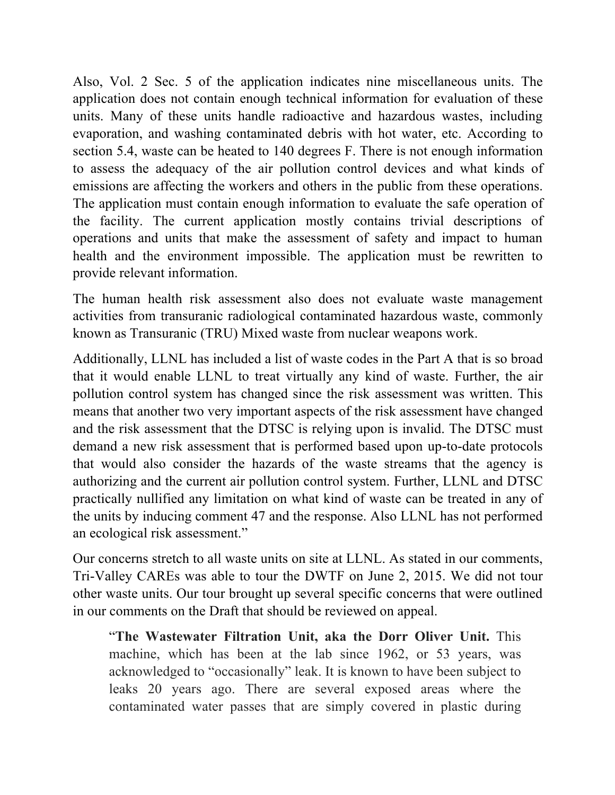Also, Vol. 2 Sec. 5 of the application indicates nine miscellaneous units. The application does not contain enough technical information for evaluation of these units. Many of these units handle radioactive and hazardous wastes, including evaporation, and washing contaminated debris with hot water, etc. According to section 5.4, waste can be heated to 140 degrees F. There is not enough information to assess the adequacy of the air pollution control devices and what kinds of emissions are affecting the workers and others in the public from these operations. The application must contain enough information to evaluate the safe operation of the facility. The current application mostly contains trivial descriptions of operations and units that make the assessment of safety and impact to human health and the environment impossible. The application must be rewritten to provide relevant information.

The human health risk assessment also does not evaluate waste management activities from transuranic radiological contaminated hazardous waste, commonly known as Transuranic (TRU) Mixed waste from nuclear weapons work.

Additionally, LLNL has included a list of waste codes in the Part A that is so broad that it would enable LLNL to treat virtually any kind of waste. Further, the air pollution control system has changed since the risk assessment was written. This means that another two very important aspects of the risk assessment have changed and the risk assessment that the DTSC is relying upon is invalid. The DTSC must demand a new risk assessment that is performed based upon up-to-date protocols that would also consider the hazards of the waste streams that the agency is authorizing and the current air pollution control system. Further, LLNL and DTSC practically nullified any limitation on what kind of waste can be treated in any of the units by inducing comment 47 and the response. Also LLNL has not performed an ecological risk assessment."

Our concerns stretch to all waste units on site at LLNL. As stated in our comments, Tri-Valley CAREs was able to tour the DWTF on June 2, 2015. We did not tour other waste units. Our tour brought up several specific concerns that were outlined in our comments on the Draft that should be reviewed on appeal.

"**The Wastewater Filtration Unit, aka the Dorr Oliver Unit.** This machine, which has been at the lab since 1962, or 53 years, was acknowledged to "occasionally" leak. It is known to have been subject to leaks 20 years ago. There are several exposed areas where the contaminated water passes that are simply covered in plastic during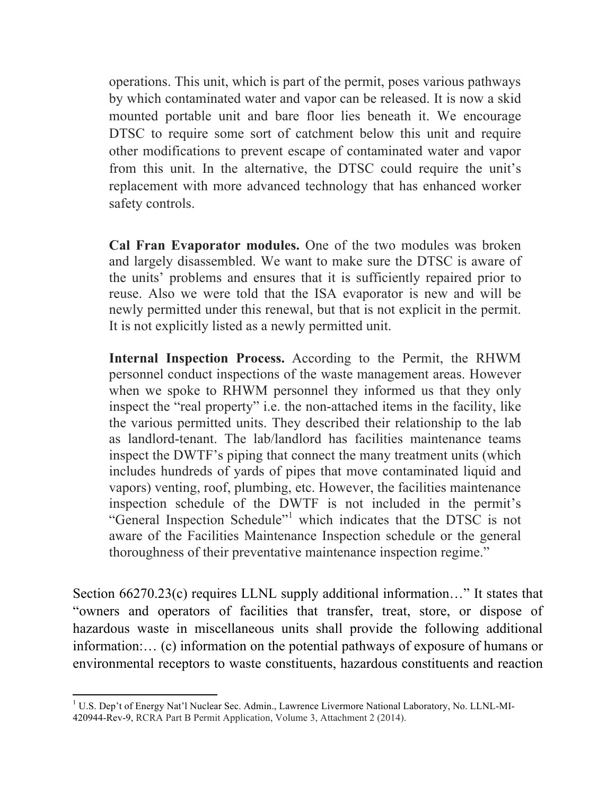operations. This unit, which is part of the permit, poses various pathways by which contaminated water and vapor can be released. It is now a skid mounted portable unit and bare floor lies beneath it. We encourage DTSC to require some sort of catchment below this unit and require other modifications to prevent escape of contaminated water and vapor from this unit. In the alternative, the DTSC could require the unit's replacement with more advanced technology that has enhanced worker safety controls.

**Cal Fran Evaporator modules.** One of the two modules was broken and largely disassembled. We want to make sure the DTSC is aware of the units' problems and ensures that it is sufficiently repaired prior to reuse. Also we were told that the ISA evaporator is new and will be newly permitted under this renewal, but that is not explicit in the permit. It is not explicitly listed as a newly permitted unit.

**Internal Inspection Process.** According to the Permit, the RHWM personnel conduct inspections of the waste management areas. However when we spoke to RHWM personnel they informed us that they only inspect the "real property" i.e. the non-attached items in the facility, like the various permitted units. They described their relationship to the lab as landlord-tenant. The lab/landlord has facilities maintenance teams inspect the DWTF's piping that connect the many treatment units (which includes hundreds of yards of pipes that move contaminated liquid and vapors) venting, roof, plumbing, etc. However, the facilities maintenance inspection schedule of the DWTF is not included in the permit's "General Inspection Schedule"<sup>1</sup> which indicates that the DTSC is not aware of the Facilities Maintenance Inspection schedule or the general thoroughness of their preventative maintenance inspection regime."

Section 66270.23(c) requires LLNL supply additional information…" It states that "owners and operators of facilities that transfer, treat, store, or dispose of hazardous waste in miscellaneous units shall provide the following additional information:… (c) information on the potential pathways of exposure of humans or environmental receptors to waste constituents, hazardous constituents and reaction

 

<sup>&</sup>lt;sup>1</sup> U.S. Dep't of Energy Nat'l Nuclear Sec. Admin., Lawrence Livermore National Laboratory, No. LLNL-MI-420944-Rev-9, RCRA Part B Permit Application, Volume 3, Attachment 2 (2014).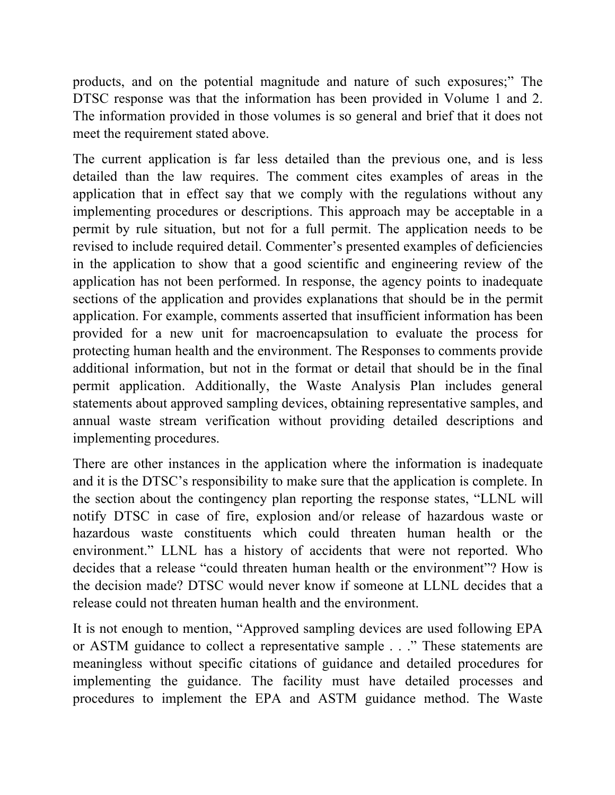products, and on the potential magnitude and nature of such exposures;" The DTSC response was that the information has been provided in Volume 1 and 2. The information provided in those volumes is so general and brief that it does not meet the requirement stated above.

The current application is far less detailed than the previous one, and is less detailed than the law requires. The comment cites examples of areas in the application that in effect say that we comply with the regulations without any implementing procedures or descriptions. This approach may be acceptable in a permit by rule situation, but not for a full permit. The application needs to be revised to include required detail. Commenter's presented examples of deficiencies in the application to show that a good scientific and engineering review of the application has not been performed. In response, the agency points to inadequate sections of the application and provides explanations that should be in the permit application. For example, comments asserted that insufficient information has been provided for a new unit for macroencapsulation to evaluate the process for protecting human health and the environment. The Responses to comments provide additional information, but not in the format or detail that should be in the final permit application. Additionally, the Waste Analysis Plan includes general statements about approved sampling devices, obtaining representative samples, and annual waste stream verification without providing detailed descriptions and implementing procedures.

There are other instances in the application where the information is inadequate and it is the DTSC's responsibility to make sure that the application is complete. In the section about the contingency plan reporting the response states, "LLNL will notify DTSC in case of fire, explosion and/or release of hazardous waste or hazardous waste constituents which could threaten human health or the environment." LLNL has a history of accidents that were not reported. Who decides that a release "could threaten human health or the environment"? How is the decision made? DTSC would never know if someone at LLNL decides that a release could not threaten human health and the environment.

It is not enough to mention, "Approved sampling devices are used following EPA or ASTM guidance to collect a representative sample . . ." These statements are meaningless without specific citations of guidance and detailed procedures for implementing the guidance. The facility must have detailed processes and procedures to implement the EPA and ASTM guidance method. The Waste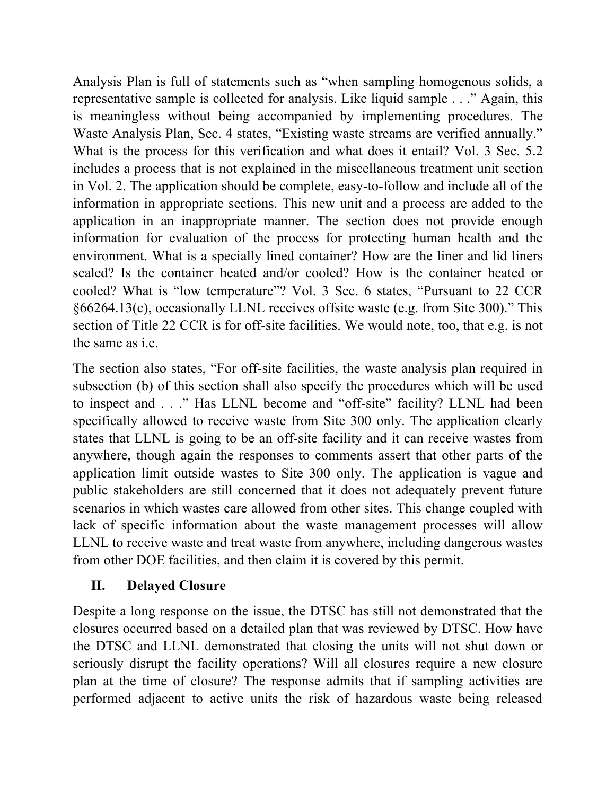Analysis Plan is full of statements such as "when sampling homogenous solids, a representative sample is collected for analysis. Like liquid sample . . ." Again, this is meaningless without being accompanied by implementing procedures. The Waste Analysis Plan, Sec. 4 states, "Existing waste streams are verified annually." What is the process for this verification and what does it entail? Vol. 3 Sec. 5.2 includes a process that is not explained in the miscellaneous treatment unit section in Vol. 2. The application should be complete, easy-to-follow and include all of the information in appropriate sections. This new unit and a process are added to the application in an inappropriate manner. The section does not provide enough information for evaluation of the process for protecting human health and the environment. What is a specially lined container? How are the liner and lid liners sealed? Is the container heated and/or cooled? How is the container heated or cooled? What is "low temperature"? Vol. 3 Sec. 6 states, "Pursuant to 22 CCR §66264.13(c), occasionally LLNL receives offsite waste (e.g. from Site 300)." This section of Title 22 CCR is for off-site facilities. We would note, too, that e.g. is not the same as i.e.

The section also states, "For off-site facilities, the waste analysis plan required in subsection (b) of this section shall also specify the procedures which will be used to inspect and . . ." Has LLNL become and "off-site" facility? LLNL had been specifically allowed to receive waste from Site 300 only. The application clearly states that LLNL is going to be an off-site facility and it can receive wastes from anywhere, though again the responses to comments assert that other parts of the application limit outside wastes to Site 300 only. The application is vague and public stakeholders are still concerned that it does not adequately prevent future scenarios in which wastes care allowed from other sites. This change coupled with lack of specific information about the waste management processes will allow LLNL to receive waste and treat waste from anywhere, including dangerous wastes from other DOE facilities, and then claim it is covered by this permit.

## **II. Delayed Closure**

Despite a long response on the issue, the DTSC has still not demonstrated that the closures occurred based on a detailed plan that was reviewed by DTSC. How have the DTSC and LLNL demonstrated that closing the units will not shut down or seriously disrupt the facility operations? Will all closures require a new closure plan at the time of closure? The response admits that if sampling activities are performed adjacent to active units the risk of hazardous waste being released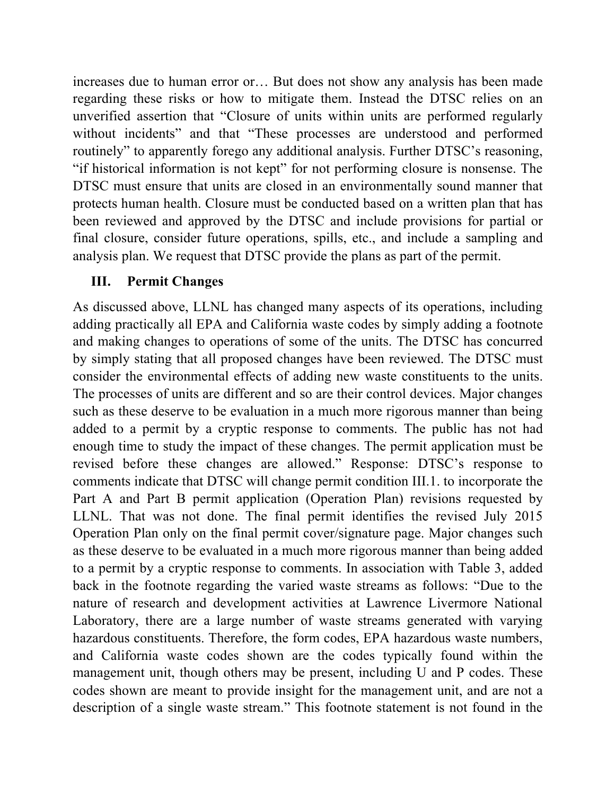increases due to human error or… But does not show any analysis has been made regarding these risks or how to mitigate them. Instead the DTSC relies on an unverified assertion that "Closure of units within units are performed regularly without incidents" and that "These processes are understood and performed routinely" to apparently forego any additional analysis. Further DTSC's reasoning, "if historical information is not kept" for not performing closure is nonsense. The DTSC must ensure that units are closed in an environmentally sound manner that protects human health. Closure must be conducted based on a written plan that has been reviewed and approved by the DTSC and include provisions for partial or final closure, consider future operations, spills, etc., and include a sampling and analysis plan. We request that DTSC provide the plans as part of the permit.

### **III. Permit Changes**

As discussed above, LLNL has changed many aspects of its operations, including adding practically all EPA and California waste codes by simply adding a footnote and making changes to operations of some of the units. The DTSC has concurred by simply stating that all proposed changes have been reviewed. The DTSC must consider the environmental effects of adding new waste constituents to the units. The processes of units are different and so are their control devices. Major changes such as these deserve to be evaluation in a much more rigorous manner than being added to a permit by a cryptic response to comments. The public has not had enough time to study the impact of these changes. The permit application must be revised before these changes are allowed." Response: DTSC's response to comments indicate that DTSC will change permit condition III.1. to incorporate the Part A and Part B permit application (Operation Plan) revisions requested by LLNL. That was not done. The final permit identifies the revised July 2015 Operation Plan only on the final permit cover/signature page. Major changes such as these deserve to be evaluated in a much more rigorous manner than being added to a permit by a cryptic response to comments. In association with Table 3, added back in the footnote regarding the varied waste streams as follows: "Due to the nature of research and development activities at Lawrence Livermore National Laboratory, there are a large number of waste streams generated with varying hazardous constituents. Therefore, the form codes, EPA hazardous waste numbers, and California waste codes shown are the codes typically found within the management unit, though others may be present, including U and P codes. These codes shown are meant to provide insight for the management unit, and are not a description of a single waste stream." This footnote statement is not found in the